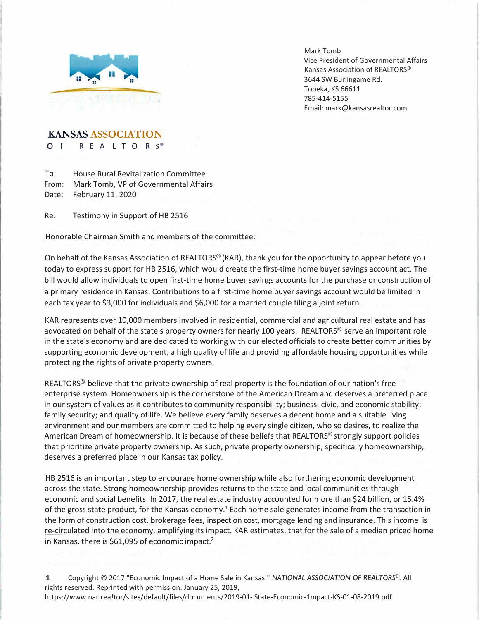

Mark Tomb Vice President of Governmental Affairs Kansas Association of REALTORS® 3644 SW Burlingame Rd. Topeka, KS 66611 785-414-5155 Email: [mark@kansasrealtor.com](mailto:mark@kansasrealtor.com)

**KANSAS ASSOCIATION**

O f R E A L T O R S<sup>®</sup>

To: From: Mark Tomb, VP of Governmental Affairs Date: February 11, 2020 House Rural Revitalization Committee

Re: Testimony in Support of HB 2516

Honorable Chairman Smith and members of the committee:

On behalf of the Kansas Association of REALTORS® (KAR), thank you for the opportunity to appear before you today to express support for HB 2516, which would create the first-time home buyer savings account act. The bill would allow individuals to open first-time home buyer savings accounts for the purchase or construction of a primary residence in Kansas. Contributions to a first-time home buyer savings account would be limited in each tax year to \$3,000 for individuals and \$6,000 for a married couple filing a joint return.

KAR represents over 10,000 members involved in residential, commercial and agricultural real estate and has advocated on behalf of the state's property owners for nearly 100 years. REALTORS® serve an important role in the state's economy and are dedicated to working with our elected officials to create better communities by supporting economic development, a high quality of life and providing affordable housing opportunities while protecting the rights of private property owners.

REALTORS<sup>®</sup> believe that the private ownership of real property is the foundation of our nation's free enterprise system. Homeownership is the cornerstone of the American Dream and deserves a preferred place in our system of values as it contributes to community responsibility; business, civic, and economic stability; family security; and quality of life. We believe every family deserves a decent home and a suitable living environment and our members are committed to helping every single citizen, who so desires, to realize the American Dream of homeownership. It is because of these beliefs that REALTORS® strongly support policies that prioritize private property ownership. As such, private property ownership, specifically homeownership, deserves a preferred place in our Kansas tax policy.

HB 2516 is an important step to encourage home ownership while also furthering economic development across the state. Strong homeownership provides returns to the state and local communities through economic and social benefits. In 2017, the real estate industry accounted for more than \$24 billion, or 15.4% of the gross state product, for the Kansas economy.<sup>1</sup> Each home sale generates income from the transaction in the form of construction cost, brokerage fees, inspection cost, mortgage lending and insurance. This income is re-circulated into the economy, amplifying its impact. KAR estimates, that for the sale of a median priced home in Kansas, there is \$61,095 of economic impact.<sup>2</sup>

1 Copyright © 2017 "Economic Impact of a Home Sale in Kansas." *NATIONAL ASSOC/ATION OF REALTORS®.* All rights reserved. Reprinted with permission. January 25, 2019, https://www.nar.rea!tor/sites/default/files/documents/2019-01- State-Economic-1mpact-KS-01-08-2019.pdf.